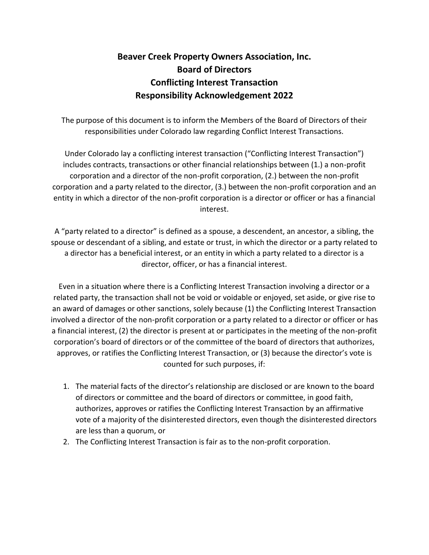## **Beaver Creek Property Owners Association, Inc. Board of Directors Conflicting Interest Transaction Responsibility Acknowledgement 2022**

The purpose of this document is to inform the Members of the Board of Directors of their responsibilities under Colorado law regarding Conflict Interest Transactions.

Under Colorado lay a conflicting interest transaction ("Conflicting Interest Transaction") includes contracts, transactions or other financial relationships between (1.) a non-profit corporation and a director of the non-profit corporation, (2.) between the non-profit corporation and a party related to the director, (3.) between the non-profit corporation and an entity in which a director of the non-profit corporation is a director or officer or has a financial interest.

A "party related to a director" is defined as a spouse, a descendent, an ancestor, a sibling, the spouse or descendant of a sibling, and estate or trust, in which the director or a party related to a director has a beneficial interest, or an entity in which a party related to a director is a director, officer, or has a financial interest.

Even in a situation where there is a Conflicting Interest Transaction involving a director or a related party, the transaction shall not be void or voidable or enjoyed, set aside, or give rise to an award of damages or other sanctions, solely because (1) the Conflicting Interest Transaction involved a director of the non-profit corporation or a party related to a director or officer or has a financial interest, (2) the director is present at or participates in the meeting of the non-profit corporation's board of directors or of the committee of the board of directors that authorizes, approves, or ratifies the Conflicting Interest Transaction, or (3) because the director's vote is counted for such purposes, if:

- 1. The material facts of the director's relationship are disclosed or are known to the board of directors or committee and the board of directors or committee, in good faith, authorizes, approves or ratifies the Conflicting Interest Transaction by an affirmative vote of a majority of the disinterested directors, even though the disinterested directors are less than a quorum, or
- 2. The Conflicting Interest Transaction is fair as to the non-profit corporation.